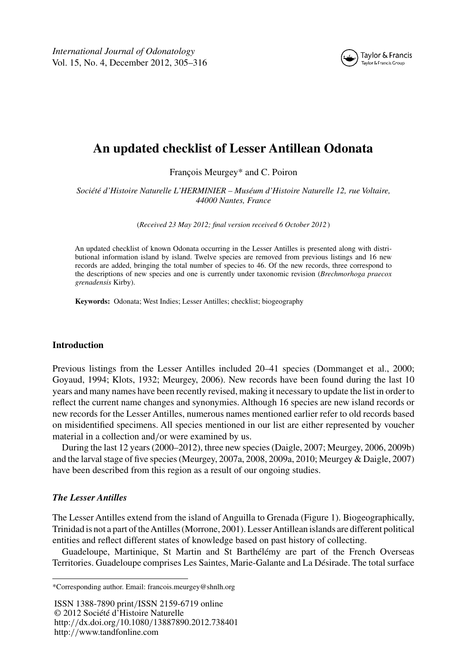*International Journal of Odonatology* Vol. 15, No. 4, December 2012, 305–316



# **An updated checklist of Lesser Antillean Odonata**

François Meurgey\* and C. Poiron

*Société d'Histoire Naturelle L'HERMINIER – Muséum d'Histoire Naturelle 12, rue Voltaire, 44000 Nantes, France*

(*Received 23 May 2012; final version received 6 October 2012* )

An updated checklist of known Odonata occurring in the Lesser Antilles is presented along with distributional information island by island. Twelve species are removed from previous listings and 16 new records are added, bringing the total number of species to 46. Of the new records, three correspond to the descriptions of new species and one is currently under taxonomic revision (*Brechmorhoga praecox grenadensis* Kirby).

**Keywords:** Odonata; West Indies; Lesser Antilles; checklist; biogeography

## **Introduction**

Previous listings from the Lesser Antilles included 20–41 species (Dommanget et al., 2000; Goyaud, 1994; Klots, 1932; Meurgey, 2006). New records have been found during the last 10 years and many names have been recently revised, making it necessary to update the list in order to reflect the current name changes and synonymies. Although 16 species are new island records or new records for the Lesser Antilles, numerous names mentioned earlier refer to old records based on misidentified specimens. All species mentioned in our list are either represented by voucher material in a collection and*/*or were examined by us.

During the last 12 years (2000–2012), three new species (Daigle, 2007; Meurgey, 2006, 2009b) and the larval stage of five species (Meurgey, 2007a, 2008, 2009a, 2010; Meurgey & Daigle, 2007) have been described from this region as a result of our ongoing studies.

# *The Lesser Antilles*

The Lesser Antilles extend from the island of Anguilla to Grenada (Figure [1\)](#page-1-0). Biogeographically, Trinidad is not a part of theAntilles (Morrone, 2001). LesserAntillean islands are different political entities and reflect different states of knowledge based on past history of collecting.

Guadeloupe, Martinique, St Martin and St Barthélémy are part of the French Overseas Territories. Guadeloupe comprises Les Saintes, Marie-Galante and La Désirade. The total surface

ISSN 1388-7890 print*/*ISSN 2159-6719 online © 2012 Société d'Histoire Naturelle http:*//*dx.doi.org*/*10.1080*/*13887890.2012.738401 http:*//*www.tandfonline.com

<sup>\*</sup>Corresponding author. Email: francois.meurgey@shnlh.org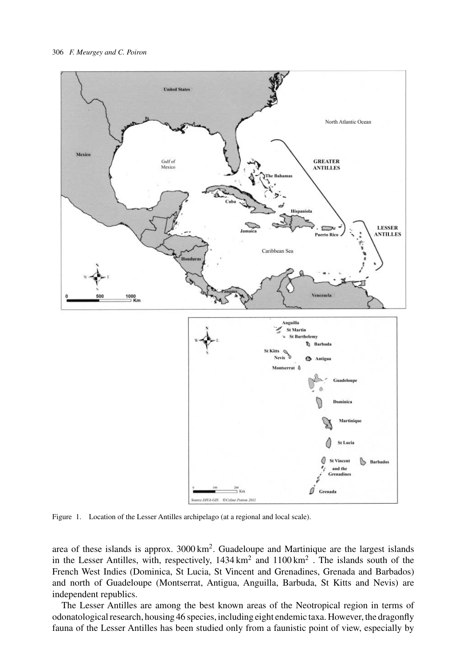<span id="page-1-0"></span>

Figure 1. Location of the Lesser Antilles archipelago (at a regional and local scale).

area of these islands is approx. 3000 km2. Guadeloupe and Martinique are the largest islands in the Lesser Antilles, with, respectively,  $1434 \text{ km}^2$  and  $1100 \text{ km}^2$ . The islands south of the French West Indies (Dominica, St Lucia, St Vincent and Grenadines, Grenada and Barbados) and north of Guadeloupe (Montserrat, Antigua, Anguilla, Barbuda, St Kitts and Nevis) are independent republics.

The Lesser Antilles are among the best known areas of the Neotropical region in terms of odonatological research, housing 46 species, including eight endemic taxa. However, the dragonfly fauna of the Lesser Antilles has been studied only from a faunistic point of view, especially by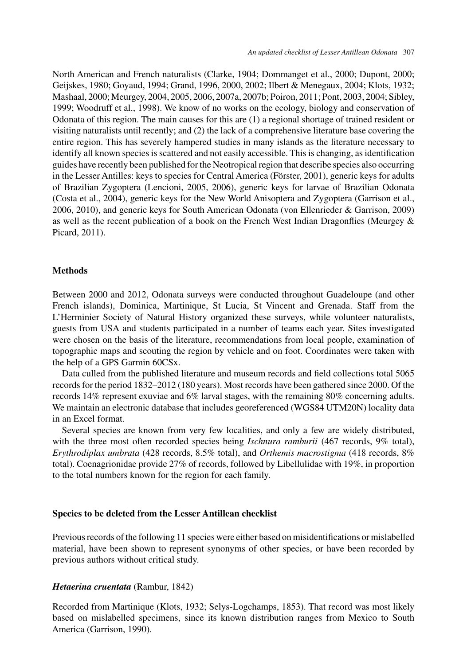North American and French naturalists (Clarke, 1904; Dommanget et al., 2000; Dupont, 2000; Geijskes, 1980; Goyaud, 1994; Grand, 1996, 2000, 2002; Ilbert & Menegaux, 2004; Klots, 1932; Mashaal, 2000; Meurgey, 2004, 2005, 2006, 2007a, 2007b; Poiron, 2011; Pont, 2003, 2004; Sibley, 1999; Woodruff et al., 1998). We know of no works on the ecology, biology and conservation of Odonata of this region. The main causes for this are (1) a regional shortage of trained resident or visiting naturalists until recently; and (2) the lack of a comprehensive literature base covering the entire region. This has severely hampered studies in many islands as the literature necessary to identify all known species is scattered and not easily accessible. This is changing, as identification guides have recently been published for the Neotropical region that describe species also occurring in the Lesser Antilles: keys to species for Central America (Förster, 2001), generic keys for adults of Brazilian Zygoptera (Lencioni, 2005, 2006), generic keys for larvae of Brazilian Odonata (Costa et al., 2004), generic keys for the New World Anisoptera and Zygoptera (Garrison et al., 2006, 2010), and generic keys for South American Odonata (von Ellenrieder & Garrison, 2009) as well as the recent publication of a book on the French West Indian Dragonflies (Meurgey & Picard, 2011).

#### **Methods**

Between 2000 and 2012, Odonata surveys were conducted throughout Guadeloupe (and other French islands), Dominica, Martinique, St Lucia, St Vincent and Grenada. Staff from the L'Herminier Society of Natural History organized these surveys, while volunteer naturalists, guests from USA and students participated in a number of teams each year. Sites investigated were chosen on the basis of the literature, recommendations from local people, examination of topographic maps and scouting the region by vehicle and on foot. Coordinates were taken with the help of a GPS Garmin 60CSx.

Data culled from the published literature and museum records and field collections total 5065 records for the period 1832–2012 (180 years). Most records have been gathered since 2000. Of the records 14% represent exuviae and 6% larval stages, with the remaining 80% concerning adults. We maintain an electronic database that includes georeferenced (WGS84 UTM20N) locality data in an Excel format.

Several species are known from very few localities, and only a few are widely distributed, with the three most often recorded species being *Ischnura ramburii* (467 records, 9% total), *Erythrodiplax umbrata* (428 records, 8.5% total), and *Orthemis macrostigma* (418 records, 8% total). Coenagrionidae provide 27% of records, followed by Libellulidae with 19%, in proportion to the total numbers known for the region for each family.

## **Species to be deleted from the Lesser Antillean checklist**

Previous records of the following 11 species were either based on misidentifications or mislabelled material, have been shown to represent synonyms of other species, or have been recorded by previous authors without critical study.

#### *Hetaerina cruentata* (Rambur, 1842)

Recorded from Martinique (Klots, 1932; Selys-Logchamps, 1853). That record was most likely based on mislabelled specimens, since its known distribution ranges from Mexico to South America (Garrison, 1990).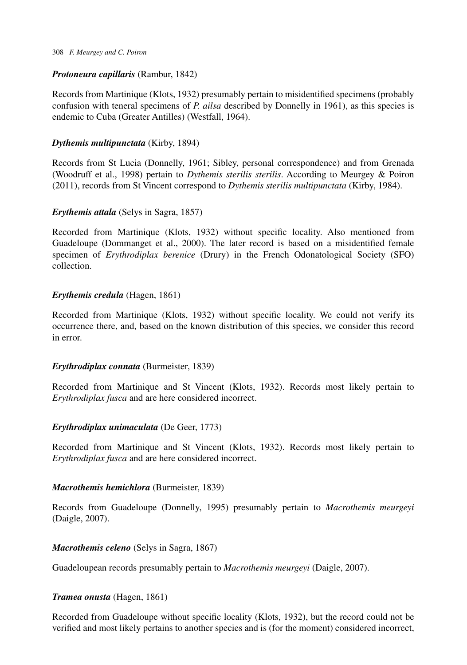#### 308 *F. Meurgey and C. Poiron*

# *Protoneura capillaris* (Rambur, 1842)

Records from Martinique (Klots, 1932) presumably pertain to misidentified specimens (probably confusion with teneral specimens of *P. ailsa* described by Donnelly in 1961), as this species is endemic to Cuba (Greater Antilles) (Westfall, 1964).

# *Dythemis multipunctata* (Kirby, 1894)

Records from St Lucia (Donnelly, 1961; Sibley, personal correspondence) and from Grenada (Woodruff et al., 1998) pertain to *Dythemis sterilis sterilis*. According to Meurgey & Poiron (2011), records from St Vincent correspond to *Dythemis sterilis multipunctata* (Kirby, 1984).

# *Erythemis attala* (Selys in Sagra, 1857)

Recorded from Martinique (Klots, 1932) without specific locality. Also mentioned from Guadeloupe (Dommanget et al., 2000). The later record is based on a misidentified female specimen of *Erythrodiplax berenice* (Drury) in the French Odonatological Society (SFO) collection.

# *Erythemis credula* (Hagen, 1861)

Recorded from Martinique (Klots, 1932) without specific locality. We could not verify its occurrence there, and, based on the known distribution of this species, we consider this record in error.

# *Erythrodiplax connata* (Burmeister, 1839)

Recorded from Martinique and St Vincent (Klots, 1932). Records most likely pertain to *Erythrodiplax fusca* and are here considered incorrect.

# *Erythrodiplax unimaculata* (De Geer, 1773)

Recorded from Martinique and St Vincent (Klots, 1932). Records most likely pertain to *Erythrodiplax fusca* and are here considered incorrect.

# *Macrothemis hemichlora* (Burmeister, 1839)

Records from Guadeloupe (Donnelly, 1995) presumably pertain to *Macrothemis meurgeyi* (Daigle, 2007).

# *Macrothemis celeno* (Selys in Sagra, 1867)

Guadeloupean records presumably pertain to *Macrothemis meurgeyi* (Daigle, 2007).

# *Tramea onusta* (Hagen, 1861)

Recorded from Guadeloupe without specific locality (Klots, 1932), but the record could not be verified and most likely pertains to another species and is (for the moment) considered incorrect,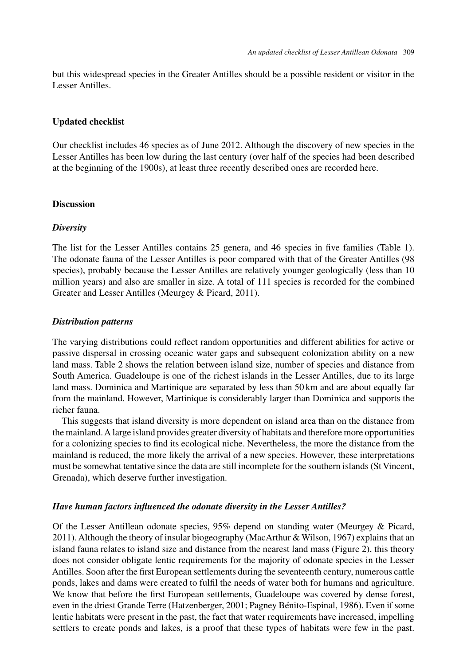but this widespread species in the Greater Antilles should be a possible resident or visitor in the Lesser Antilles.

## **Updated checklist**

Our checklist includes 46 species as of June 2012. Although the discovery of new species in the Lesser Antilles has been low during the last century (over half of the species had been described at the beginning of the 1900s), at least three recently described ones are recorded here.

#### **Discussion**

#### *Diversity*

The list for the Lesser Antilles contains 25 genera, and 46 species in five families (Table [1\)](#page-5-0). The odonate fauna of the Lesser Antilles is poor compared with that of the Greater Antilles (98 species), probably because the Lesser Antilles are relatively younger geologically (less than 10 million years) and also are smaller in size. A total of 111 species is recorded for the combined Greater and Lesser Antilles (Meurgey & Picard, 2011).

## *Distribution patterns*

The varying distributions could reflect random opportunities and different abilities for active or passive dispersal in crossing oceanic water gaps and subsequent colonization ability on a new land mass. Table [2](#page-7-0) shows the relation between island size, number of species and distance from South America. Guadeloupe is one of the richest islands in the Lesser Antilles, due to its large land mass. Dominica and Martinique are separated by less than 50 km and are about equally far from the mainland. However, Martinique is considerably larger than Dominica and supports the richer fauna.

This suggests that island diversity is more dependent on island area than on the distance from the mainland.A large island provides greater diversity of habitats and therefore more opportunities for a colonizing species to find its ecological niche. Nevertheless, the more the distance from the mainland is reduced, the more likely the arrival of a new species. However, these interpretations must be somewhat tentative since the data are still incomplete for the southern islands (St Vincent, Grenada), which deserve further investigation.

#### *Have human factors influenced the odonate diversity in the Lesser Antilles?*

Of the Lesser Antillean odonate species, 95% depend on standing water (Meurgey & Picard, 2011). Although the theory of insular biogeography (MacArthur & Wilson, 1967) explains that an island fauna relates to island size and distance from the nearest land mass (Figure [2\)](#page-7-0), this theory does not consider obligate lentic requirements for the majority of odonate species in the Lesser Antilles. Soon after the first European settlements during the seventeenth century, numerous cattle ponds, lakes and dams were created to fulfil the needs of water both for humans and agriculture. We know that before the first European settlements, Guadeloupe was covered by dense forest, even in the driest Grande Terre (Hatzenberger, 2001; Pagney Bénito-Espinal, 1986). Even if some lentic habitats were present in the past, the fact that water requirements have increased, impelling settlers to create ponds and lakes, is a proof that these types of habitats were few in the past.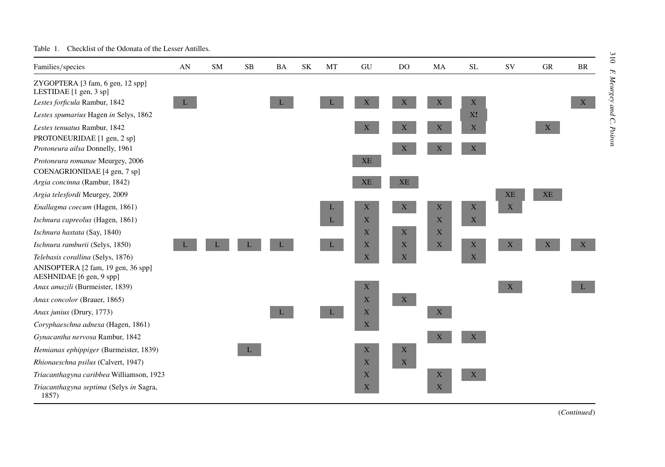| Families/species                                               | AN | <b>SM</b> | SB | <b>BA</b> | SK | MT           | GU          | DO                        | MA          | <b>SL</b>   | <b>SV</b>    | <b>GR</b> | <b>BR</b> |
|----------------------------------------------------------------|----|-----------|----|-----------|----|--------------|-------------|---------------------------|-------------|-------------|--------------|-----------|-----------|
| ZYGOPTERA [3 fam, 6 gen, 12 spp]<br>LESTIDAE [1 gen, 3 sp]     |    |           |    |           |    |              |             |                           |             |             |              |           |           |
| Lestes forficula Rambur, 1842                                  | L  |           |    |           |    |              | X           | X                         | X           | X           |              |           | X         |
| Lestes spumarius Hagen in Selys, 1862                          |    |           |    |           |    |              |             |                           |             | X!          |              |           |           |
| Lestes tenuatus Rambur, 1842                                   |    |           |    |           |    |              | X           | X                         | $\mathbf X$ | X           |              | X         |           |
| PROTONEURIDAE [1 gen, 2 sp]                                    |    |           |    |           |    |              |             |                           |             |             |              |           |           |
| Protoneura ailsa Donnelly, 1961                                |    |           |    |           |    |              |             | $\mathbf{X}$              | X           | X           |              |           |           |
| Protoneura romanae Meurgey, 2006                               |    |           |    |           |    |              | XE          |                           |             |             |              |           |           |
| COENAGRIONIDAE [4 gen, 7 sp]                                   |    |           |    |           |    |              |             |                           |             |             |              |           |           |
| Argia concinna (Rambur, 1842)                                  |    |           |    |           |    |              | <b>XE</b>   | XE                        |             |             |              |           |           |
| Argia telesfordi Meurgey, 2009                                 |    |           |    |           |    |              |             |                           |             |             | <b>XE</b>    | XE        |           |
| Enallagma coecum (Hagen, 1861)                                 |    |           |    |           |    | L            | $\mathbf X$ | X                         | $\mathbf X$ | $\mathbf X$ | $\mathbf{X}$ |           |           |
| Ischnura capreolus (Hagen, 1861)                               |    |           |    |           |    | L            | X           |                           | X           | X           |              |           |           |
| Ischnura hastata (Say, 1840)                                   |    |           |    |           |    |              | X           | $\boldsymbol{\mathrm{X}}$ | X           |             |              |           |           |
| Ischnura ramburii (Selys, 1850)                                |    |           |    |           |    | $\mathbf{L}$ | $\mathbf X$ | $\boldsymbol{\mathrm{X}}$ | $\mathbf X$ | $\mathbf X$ | X            |           | X         |
| Telebasis corallina (Selys, 1876)                              |    |           |    |           |    |              | $\mathbf X$ | X                         |             | X           |              |           |           |
| ANISOPTERA [2 fam, 19 gen, 36 spp]<br>AESHNIDAE [6 gen, 9 spp] |    |           |    |           |    |              |             |                           |             |             |              |           |           |
| Anax amazili (Burmeister, 1839)                                |    |           |    |           |    |              | X           |                           |             |             | X            |           |           |
| Anax concolor (Brauer, 1865)                                   |    |           |    |           |    |              | X           | X                         |             |             |              |           |           |
| Anax junius (Drury, 1773)                                      |    |           |    |           |    | L            | $\mathbf X$ |                           | $\mathbf X$ |             |              |           |           |
| Coryphaeschna adnexa (Hagen, 1861)                             |    |           |    |           |    |              | $\mathbf X$ |                           |             |             |              |           |           |
| Gynacantha nervosa Rambur, 1842                                |    |           |    |           |    |              |             |                           | X           | X           |              |           |           |
| Hemianax ephippiger (Burmeister, 1839)                         |    |           | L  |           |    |              | $\mathbf X$ | $\mathbf X$               |             |             |              |           |           |
| Rhionaeschna psilus (Calvert, 1947)                            |    |           |    |           |    |              | $\mathbf X$ | $\mathbf X$               |             |             |              |           |           |
| Triacanthagyna caribbea Williamson, 1923                       |    |           |    |           |    |              | X           |                           | $\mathbf X$ | X           |              |           |           |
| Triacanthagyna septima (Selys in Sagra,<br>1857)               |    |           |    |           |    |              | X           |                           | $\mathbf X$ |             |              |           |           |

#### <span id="page-5-0"></span>Table 1. Checklist of the Odonata of the Lesser Antilles.

(*Continued*)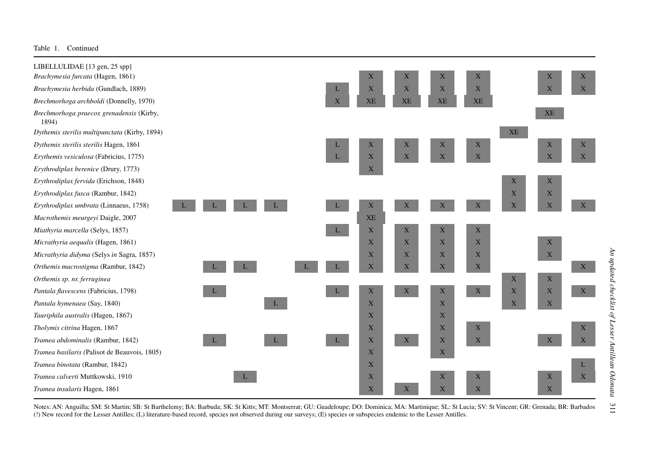LIBELLULIDAE [13 gen, 25 spp] *Brechmorhoga praecox grenadensis* (Kirby, 1894) *Tramea binotataTramea calverti*

*Tramea insularis*



Notes: AN: Anguilla; SM: St Martin; SB: St Barthelemy; BA: Barbuda; SK: St Kitts; MT: Montserrat; GU: Guadeloupe; DO: Dominica; MA: Martinique; SL: St Lucia; SV: St Vincent; GR: Grenada; BR: Barbados (!) New record for the Lesser Antilles; (L) literature-based record, species not observed during our surveys; (E) species or subspecies endemic to the Lesser Antilles.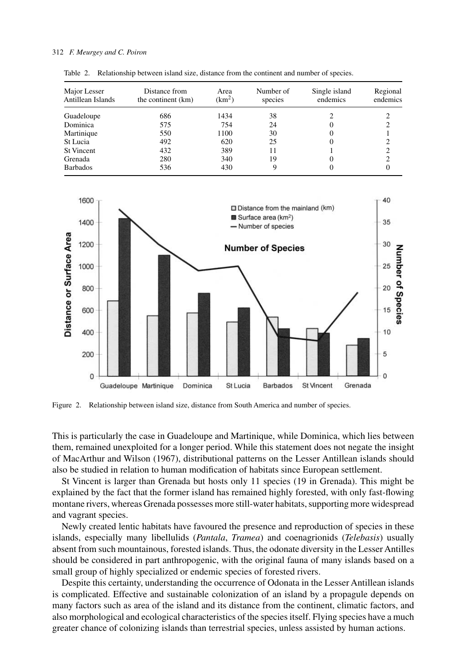#### <span id="page-7-0"></span>312 *F. Meurgey and C. Poiron*

| Major Lesser<br>Antillean Islands | Distance from<br>the continent (km) | Area<br>(km <sup>2</sup> ) | Number of<br>species | Single island<br>endemics | Regional<br>endemics |
|-----------------------------------|-------------------------------------|----------------------------|----------------------|---------------------------|----------------------|
| Guadeloupe                        | 686                                 | 1434                       | 38                   |                           |                      |
| Dominica                          | 575                                 | 754                        | 24                   |                           |                      |
| Martinique                        | 550                                 | 1100                       | 30                   |                           |                      |
| St Lucia                          | 492                                 | 620                        | 25                   |                           |                      |
| <b>St Vincent</b>                 | 432                                 | 389                        | 11                   |                           |                      |
| Grenada                           | 280                                 | 340                        | 19                   |                           |                      |
| <b>Barbados</b>                   | 536                                 | 430                        | 9                    |                           |                      |

Table 2. Relationship between island size, distance from the continent and number of species.



Figure 2. Relationship between island size, distance from South America and number of species.

This is particularly the case in Guadeloupe and Martinique, while Dominica, which lies between them, remained unexploited for a longer period. While this statement does not negate the insight of MacArthur and Wilson (1967), distributional patterns on the Lesser Antillean islands should also be studied in relation to human modification of habitats since European settlement.

St Vincent is larger than Grenada but hosts only 11 species (19 in Grenada). This might be explained by the fact that the former island has remained highly forested, with only fast-flowing montane rivers, whereas Grenada possesses more still-water habitats, supporting more widespread and vagrant species.

Newly created lentic habitats have favoured the presence and reproduction of species in these islands, especially many libellulids (*Pantala*, *Tramea*) and coenagrionids (*Telebasis*) usually absent from such mountainous, forested islands. Thus, the odonate diversity in the Lesser Antilles should be considered in part anthropogenic, with the original fauna of many islands based on a small group of highly specialized or endemic species of forested rivers.

Despite this certainty, understanding the occurrence of Odonata in the Lesser Antillean islands is complicated. Effective and sustainable colonization of an island by a propagule depends on many factors such as area of the island and its distance from the continent, climatic factors, and also morphological and ecological characteristics of the species itself. Flying species have a much greater chance of colonizing islands than terrestrial species, unless assisted by human actions.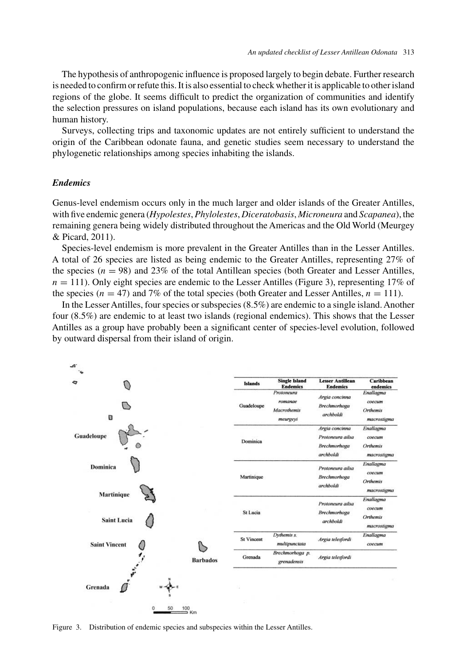The hypothesis of anthropogenic influence is proposed largely to begin debate. Further research is needed to confirm or refute this. It is also essential to check whether it is applicable to other island regions of the globe. It seems difficult to predict the organization of communities and identify the selection pressures on island populations, because each island has its own evolutionary and human history.

Surveys, collecting trips and taxonomic updates are not entirely sufficient to understand the origin of the Caribbean odonate fauna, and genetic studies seem necessary to understand the phylogenetic relationships among species inhabiting the islands.

## *Endemics*

Genus-level endemism occurs only in the much larger and older islands of the Greater Antilles, with five endemic genera (*Hypolestes*, *Phylolestes*, *Diceratobasis*, *Microneura* and *Scapanea*), the remaining genera being widely distributed throughout the Americas and the Old World (Meurgey & Picard, 2011).

Species-level endemism is more prevalent in the Greater Antilles than in the Lesser Antilles. A total of 26 species are listed as being endemic to the Greater Antilles, representing 27% of the species  $(n = 98)$  and 23% of the total Antillean species (both Greater and Lesser Antilles,  $n = 111$ ). Only eight species are endemic to the Lesser Antilles (Figure 3), representing 17% of the species  $(n = 47)$  and 7% of the total species (both Greater and Lesser Antilles,  $n = 111$ ).

In the Lesser Antilles, four species or subspecies (8.5%) are endemic to a single island. Another four (8.5%) are endemic to at least two islands (regional endemics). This shows that the Lesser Antilles as a group have probably been a significant center of species-level evolution, followed by outward dispersal from their island of origin.



Figure 3. Distribution of endemic species and subspecies within the Lesser Antilles.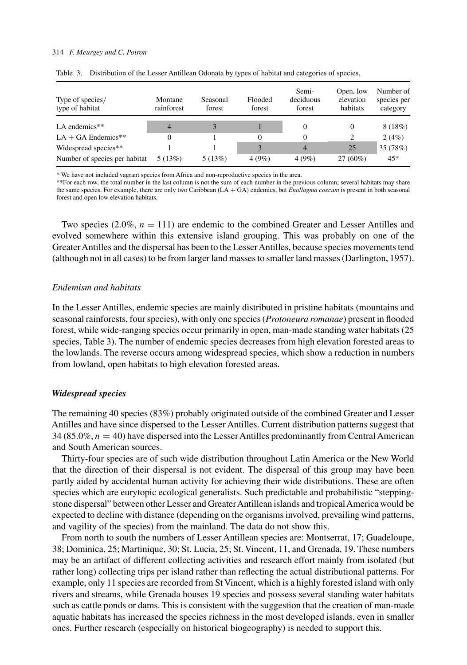#### 314 *F. Meurgey and C. Poiron*

| Type of species/<br>type of habitat | Montane<br>rainforest | Seasonal<br>forest | Flooded<br>forest       | Semi-<br>deciduous<br>forest | Open, low<br>elevation<br>habitats | Number of<br>species per<br>category |
|-------------------------------------|-----------------------|--------------------|-------------------------|------------------------------|------------------------------------|--------------------------------------|
| LA endemics $**$                    | $\overline{4}$        |                    |                         | $\Omega$                     | 0                                  | 8(18%)                               |
| $LA + GA$ Endemics**                | 0                     |                    | $\Omega$                | 0                            | 2                                  | 2(4%)                                |
| Widespread species**                |                       |                    | $\overline{\mathbf{a}}$ | $\overline{4}$               | 25                                 | 35 (78%)                             |
| Number of species per habitat       | 5(13%)                | 5(13%)             | 4(9%)                   | 4(9%)                        | $27(60\%)$                         | $45*$                                |

Table 3. Distribution of the Lesser Antillean Odonata by types of habitat and categories of species.

\* We have not included vagrant species from Africa and non-reproductive species in the area.

\*\*For each row, the total number in the last column is not the sum of each number in the previous column; several habitats may share the same species. For example, there are only two Caribbean (LA + GA) endemics, but *Enallagma coecum* is present in both seasonal forest and open low elevation habitats.

Two species  $(2.0\%, n = 111)$  are endemic to the combined Greater and Lesser Antilles and evolved somewhere within this extensive island grouping. This was probably on one of the Greater Antilles and the dispersal has been to the Lesser Antilles, because species movements tend (although not in all cases) to be from larger land masses to smaller land masses (Darlington, 1957).

#### *Endemism and habitats*

In the Lesser Antilles, endemic species are mainly distributed in pristine habitats (mountains and seasonal rainforests, four species), with only one species (*Protoneura romanae*) present in flooded forest, while wide-ranging species occur primarily in open, man-made standing water habitats (25 species, Table 3). The number of endemic species decreases from high elevation forested areas to the lowlands. The reverse occurs among widespread species, which show a reduction in numbers from lowland, open habitats to high elevation forested areas.

#### *Widespread species*

The remaining 40 species (83%) probably originated outside of the combined Greater and Lesser Antilles and have since dispersed to the Lesser Antilles. Current distribution patterns suggest that 34 (85.0%,  $n = 40$ ) have dispersed into the Lesser Antilles predominantly from Central American and South American sources.

Thirty-four species are of such wide distribution throughout Latin America or the New World that the direction of their dispersal is not evident. The dispersal of this group may have been partly aided by accidental human activity for achieving their wide distributions. These are often species which are eurytopic ecological generalists. Such predictable and probabilistic "steppingstone dispersal" between other Lesser and Greater Antillean islands and tropical America would be expected to decline with distance (depending on the organisms involved, prevailing wind patterns, and vagility of the species) from the mainland. The data do not show this.

From north to south the numbers of Lesser Antillean species are: Montserrat, 17; Guadeloupe, 38; Dominica, 25; Martinique, 30; St. Lucia, 25; St. Vincent, 11, and Grenada, 19. These numbers may be an artifact of different collecting activities and research effort mainly from isolated (but rather long) collecting trips per island rather than reflecting the actual distributional patterns. For example, only 11 species are recorded from St Vincent, which is a highly forested island with only rivers and streams, while Grenada houses 19 species and possess several standing water habitats such as cattle ponds or dams. This is consistent with the suggestion that the creation of man-made aquatic habitats has increased the species richness in the most developed islands, even in smaller ones. Further research (especially on historical biogeography) is needed to support this.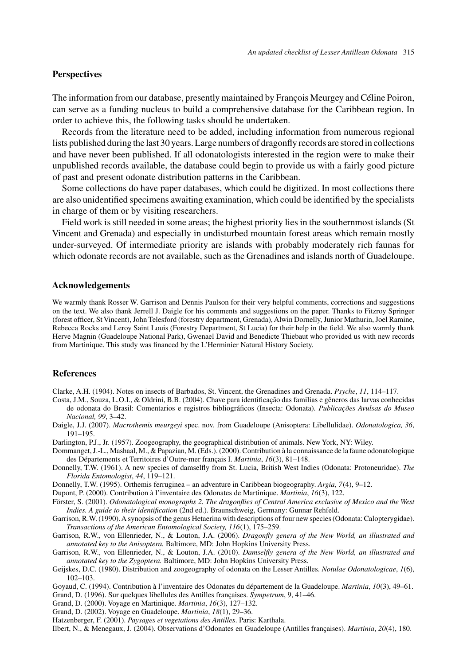## **Perspectives**

The information from our database, presently maintained by François Meurgey and Céline Poiron, can serve as a funding nucleus to build a comprehensive database for the Caribbean region. In order to achieve this, the following tasks should be undertaken.

Records from the literature need to be added, including information from numerous regional lists published during the last 30 years. Large numbers of dragonfly records are stored in collections and have never been published. If all odonatologists interested in the region were to make their unpublished records available, the database could begin to provide us with a fairly good picture of past and present odonate distribution patterns in the Caribbean.

Some collections do have paper databases, which could be digitized. In most collections there are also unidentified specimens awaiting examination, which could be identified by the specialists in charge of them or by visiting researchers.

Field work is still needed in some areas; the highest priority lies in the southernmost islands (St Vincent and Grenada) and especially in undisturbed mountain forest areas which remain mostly under-surveyed. Of intermediate priority are islands with probably moderately rich faunas for which odonate records are not available, such as the Grenadines and islands north of Guadeloupe.

## **Acknowledgements**

We warmly thank Rosser W. Garrison and Dennis Paulson for their very helpful comments, corrections and suggestions on the text. We also thank Jerrell J. Daigle for his comments and suggestions on the paper. Thanks to Fitzroy Springer (forest officer, St Vincent), John Telesford (forestry department, Grenada), Alwin Dornelly, Junior Mathurin, Joel Ramine, Rebecca Rocks and Leroy Saint Louis (Forestry Department, St Lucia) for their help in the field. We also warmly thank Herve Magnin (Guadeloupe National Park), Gwenael David and Benedicte Thiebaut who provided us with new records from Martinique. This study was financed by the L'Herminier Natural History Society.

#### **References**

Clarke, A.H. (1904). Notes on insects of Barbados, St. Vincent, the Grenadines and Grenada. *Psyche*, *11*, 114–117.

- Costa, J.M., Souza, L.O.I., & Oldrini, B.B. (2004). Chave para identificação das familias e gêneros das larvas conhecidas de odonata do Brasil: Comentarios e registros bibliográficos (Insecta: Odonata). *Publicações Avulsas do Museo Nacional, 99*, 3–42.
- Daigle, J.J. (2007). *Macrothemis meurgeyi* spec. nov. from Guadeloupe (Anisoptera: Libellulidae). *Odonatologica, 36*, 191–195.
- Darlington, P.J., Jr. (1957). Zoogeography, the geographical distribution of animals. New York, NY: Wiley.
- Dommanget, J.-L., Mashaal, M., & Papazian, M. (Eds.). (2000). Contribution à la connaissance de la faune odonatologique des Départements et Territoires d'Outre-mer français I. *Martinia*, *16*(3), 81–148.
- Donnelly, T.W. (1961). A new species of damselfly from St. Lucia, British West Indies (Odonata: Protoneuridae). *The Florida Entomologist*, *44*, 119–121.
- Donnelly, T.W. (1995). Orthemis ferruginea an adventure in Caribbean biogeography. *Argia*, *7*(4), 9–12.
- Dupont, P. (2000). Contribution à l'inventaire des Odonates de Martinique. *Martinia*, *16*(3), 122.
- Förster, S. (2001). *Odonatological monographs 2. The dragonflies of Central America exclusive of Mexico and the West Indies. A guide to their identification* (2nd ed.). Braunschweig, Germany: Gunnar Rehfeld.
- Garrison, R.W. (1990).A synopsis of the genus Hetaerina with descriptions of four new species (Odonata: Calopterygidae). *Transactions of the American Entomological Society, 116*(1), 175–259.
- Garrison, R.W., von Ellenrieder, N., & Louton, J.A. (2006). *Dragonfly genera of the New World, an illustrated and annotated key to the Anisoptera.* Baltimore, MD: John Hopkins University Press.
- Garrison, R.W., von Ellenrieder, N., & Louton, J.A. (2010). *Damselfly genera of the New World, an illustrated and annotated key to the Zygoptera.* Baltimore, MD: John Hopkins University Press.
- Geijskes, D.C. (1980). Distribution and zoogeography of odonata on the Lesser Antilles. *Notulae Odonatologicae*, *1*(6), 102–103.
- Goyaud, C. (1994). Contribution à l'inventaire des Odonates du département de la Guadeloupe. *Martinia*, *10*(3), 49–61.
- Grand, D. (1996). Sur quelques libellules des Antilles françaises. *Sympetrum*, 9, 41–46.
- Grand, D. (2000). Voyage en Martinique. *Martinia*, *16*(3), 127–132.
- Grand, D. (2002). Voyage en Guadeloupe. *Martinia*, *18*(1), 29–36.
- Hatzenberger, F. (2001). *Paysages et vegetations des Antilles*. Paris: Karthala.
- Ilbert, N., & Menegaux, J. (2004). Observations d'Odonates en Guadeloupe (Antilles françaises). *Martinia*, *20*(4), 180.